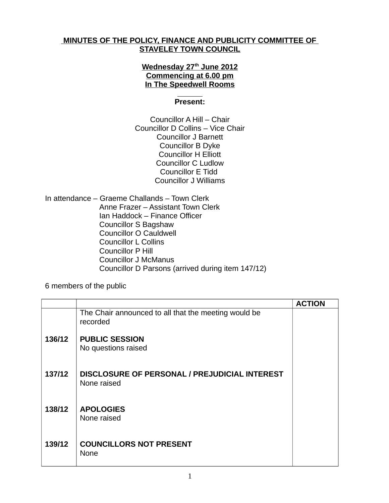## **MINUTES OF THE POLICY, FINANCE AND PUBLICITY COMMITTEE OF STAVELEY TOWN COUNCIL**

## **Wednesday 27th June 2012 Commencing at 6.00 pm In The Speedwell Rooms**

## **Present:**

Councillor A Hill – Chair Councillor D Collins – Vice Chair Councillor J Barnett Councillor B Dyke Councillor H Elliott Councillor C Ludlow Councillor E Tidd Councillor J Williams

In attendance – Graeme Challands – Town Clerk Anne Frazer – Assistant Town Clerk Ian Haddock – Finance Officer Councillor S Bagshaw Councillor O Cauldwell Councillor L Collins Councillor P Hill Councillor J McManus Councillor D Parsons (arrived during item 147/12)

6 members of the public

|        |                                                                  | <b>ACTION</b> |
|--------|------------------------------------------------------------------|---------------|
|        | The Chair announced to all that the meeting would be<br>recorded |               |
| 136/12 | <b>PUBLIC SESSION</b><br>No questions raised                     |               |
| 137/12 | DISCLOSURE OF PERSONAL / PREJUDICIAL INTEREST<br>None raised     |               |
| 138/12 | <b>APOLOGIES</b><br>None raised                                  |               |
| 139/12 | <b>COUNCILLORS NOT PRESENT</b><br>None                           |               |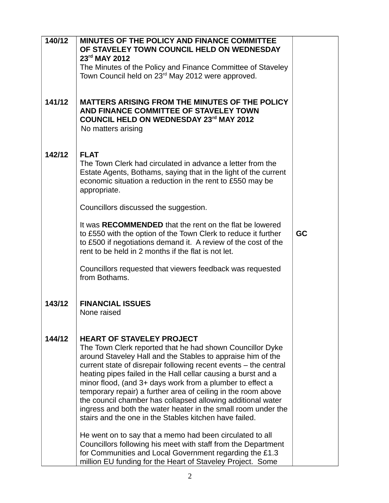| 140/12 | MINUTES OF THE POLICY AND FINANCE COMMITTEE<br>OF STAVELEY TOWN COUNCIL HELD ON WEDNESDAY<br>23rd MAY 2012                                                                                                                                                                                                                                                                                                                                                                                                                                                                                                                |    |
|--------|---------------------------------------------------------------------------------------------------------------------------------------------------------------------------------------------------------------------------------------------------------------------------------------------------------------------------------------------------------------------------------------------------------------------------------------------------------------------------------------------------------------------------------------------------------------------------------------------------------------------------|----|
|        | The Minutes of the Policy and Finance Committee of Staveley                                                                                                                                                                                                                                                                                                                                                                                                                                                                                                                                                               |    |
|        | Town Council held on 23 <sup>rd</sup> May 2012 were approved.                                                                                                                                                                                                                                                                                                                                                                                                                                                                                                                                                             |    |
|        |                                                                                                                                                                                                                                                                                                                                                                                                                                                                                                                                                                                                                           |    |
| 141/12 | MATTERS ARISING FROM THE MINUTES OF THE POLICY<br>AND FINANCE COMMITTEE OF STAVELEY TOWN<br><b>COUNCIL HELD ON WEDNESDAY 23rd MAY 2012</b><br>No matters arising                                                                                                                                                                                                                                                                                                                                                                                                                                                          |    |
| 142/12 | <b>FLAT</b><br>The Town Clerk had circulated in advance a letter from the<br>Estate Agents, Bothams, saying that in the light of the current<br>economic situation a reduction in the rent to £550 may be<br>appropriate.                                                                                                                                                                                                                                                                                                                                                                                                 |    |
|        | Councillors discussed the suggestion.                                                                                                                                                                                                                                                                                                                                                                                                                                                                                                                                                                                     |    |
|        | It was RECOMMENDED that the rent on the flat be lowered<br>to £550 with the option of the Town Clerk to reduce it further<br>to £500 if negotiations demand it. A review of the cost of the<br>rent to be held in 2 months if the flat is not let.                                                                                                                                                                                                                                                                                                                                                                        | GC |
|        | Councillors requested that viewers feedback was requested<br>from Bothams.                                                                                                                                                                                                                                                                                                                                                                                                                                                                                                                                                |    |
| 143/12 | <b>FINANCIAL ISSUES</b><br>None raised                                                                                                                                                                                                                                                                                                                                                                                                                                                                                                                                                                                    |    |
| 144/12 | <b>HEART OF STAVELEY PROJECT</b><br>The Town Clerk reported that he had shown Councillor Dyke<br>around Staveley Hall and the Stables to appraise him of the<br>current state of disrepair following recent events – the central<br>heating pipes failed in the Hall cellar causing a burst and a<br>minor flood, (and 3+ days work from a plumber to effect a<br>temporary repair) a further area of ceiling in the room above<br>the council chamber has collapsed allowing additional water<br>ingress and both the water heater in the small room under the<br>stairs and the one in the Stables kitchen have failed. |    |
|        | He went on to say that a memo had been circulated to all<br>Councillors following his meet with staff from the Department<br>for Communities and Local Government regarding the £1.3<br>million EU funding for the Heart of Staveley Project. Some                                                                                                                                                                                                                                                                                                                                                                        |    |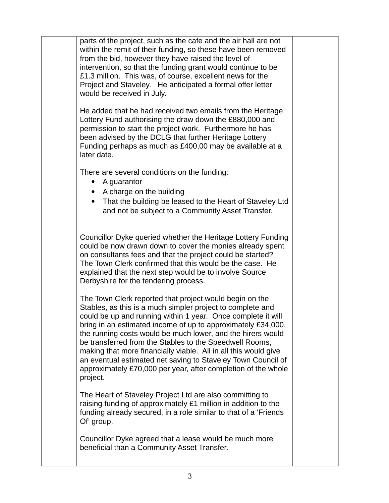parts of the project, such as the cafe and the air hall are not within the remit of their funding, so these have been removed from the bid, however they have raised the level of intervention, so that the funding grant would continue to be £1.3 million. This was, of course, excellent news for the Project and Staveley. He anticipated a formal offer letter would be received in July.

He added that he had received two emails from the Heritage Lottery Fund authorising the draw down the £880,000 and permission to start the project work. Furthermore he has been advised by the DCLG that further Heritage Lottery Funding perhaps as much as £400,00 may be available at a later date.

There are several conditions on the funding:

- A quarantor
- A charge on the building
- That the building be leased to the Heart of Staveley Ltd and not be subject to a Community Asset Transfer.

Councillor Dyke queried whether the Heritage Lottery Funding could be now drawn down to cover the monies already spent on consultants fees and that the project could be started? The Town Clerk confirmed that this would be the case. He explained that the next step would be to involve Source Derbyshire for the tendering process.

The Town Clerk reported that project would begin on the Stables, as this is a much simpler project to complete and could be up and running within 1 year. Once complete it will bring in an estimated income of up to approximately £34,000, the running costs would be much lower, and the hirers would be transferred from the Stables to the Speedwell Rooms, making that more financially viable. All in all this would give an eventual estimated net saving to Staveley Town Council of approximately £70,000 per year, after completion of the whole project.

The Heart of Staveley Project Ltd are also committing to raising funding of approximately £1 million in addition to the funding already secured, in a role similar to that of a 'Friends Of' group.

Councillor Dyke agreed that a lease would be much more beneficial than a Community Asset Transfer.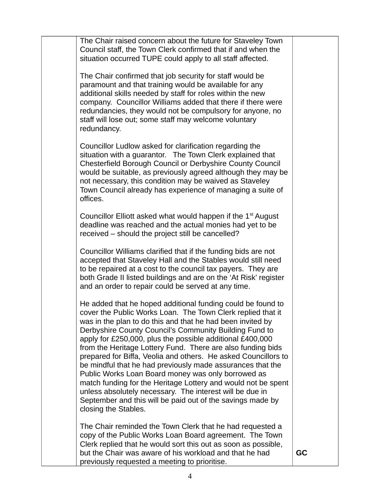The Chair raised concern about the future for Staveley Town Council staff, the Town Clerk confirmed that if and when the situation occurred TUPE could apply to all staff affected. The Chair confirmed that job security for staff would be paramount and that training would be available for any additional skills needed by staff for roles within the new company. Councillor Williams added that there if there were redundancies, they would not be compulsory for anyone, no staff will lose out; some staff may welcome voluntary redundancy. Councillor Ludlow asked for clarification regarding the situation with a guarantor. The Town Clerk explained that Chesterfield Borough Council or Derbyshire County Council would be suitable, as previously agreed although they may be not necessary, this condition may be waived as Staveley Town Council already has experience of managing a suite of offices. Councillor Elliott asked what would happen if the  $1<sup>st</sup>$  August deadline was reached and the actual monies had yet to be received – should the project still be cancelled? Councillor Williams clarified that if the funding bids are not accepted that Staveley Hall and the Stables would still need to be repaired at a cost to the council tax payers. They are both Grade II listed buildings and are on the 'At Risk' register and an order to repair could be served at any time. He added that he hoped additional funding could be found to cover the Public Works Loan. The Town Clerk replied that it was in the plan to do this and that he had been invited by Derbyshire County Council's Community Building Fund to apply for £250,000, plus the possible additional £400,000 from the Heritage Lottery Fund. There are also funding bids prepared for Biffa, Veolia and others. He asked Councillors to be mindful that he had previously made assurances that the Public Works Loan Board money was only borrowed as match funding for the Heritage Lottery and would not be spent unless absolutely necessary. The interest will be due in September and this will be paid out of the savings made by closing the Stables. The Chair reminded the Town Clerk that he had requested a copy of the Public Works Loan Board agreement. The Town Clerk replied that he would sort this out as soon as possible, but the Chair was aware of his workload and that he had previously requested a meeting to prioritise. **GC**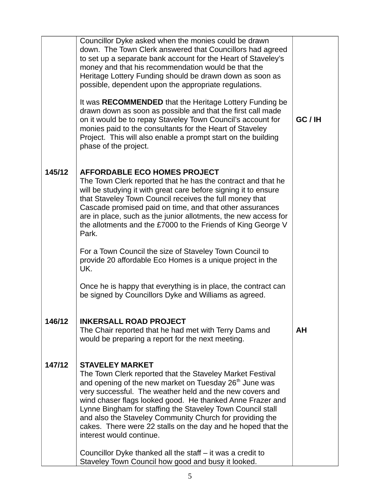|        | Councillor Dyke asked when the monies could be drawn<br>down. The Town Clerk answered that Councillors had agreed<br>to set up a separate bank account for the Heart of Staveley's<br>money and that his recommendation would be that the<br>Heritage Lottery Funding should be drawn down as soon as<br>possible, dependent upon the appropriate regulations.<br>It was RECOMMENDED that the Heritage Lottery Funding be<br>drawn down as soon as possible and that the first call made<br>on it would be to repay Staveley Town Council's account for<br>monies paid to the consultants for the Heart of Staveley<br>Project. This will also enable a prompt start on the building<br>phase of the project. | GC / IH |
|--------|---------------------------------------------------------------------------------------------------------------------------------------------------------------------------------------------------------------------------------------------------------------------------------------------------------------------------------------------------------------------------------------------------------------------------------------------------------------------------------------------------------------------------------------------------------------------------------------------------------------------------------------------------------------------------------------------------------------|---------|
| 145/12 | <b>AFFORDABLE ECO HOMES PROJECT</b><br>The Town Clerk reported that he has the contract and that he<br>will be studying it with great care before signing it to ensure<br>that Staveley Town Council receives the full money that<br>Cascade promised paid on time, and that other assurances<br>are in place, such as the junior allotments, the new access for<br>the allotments and the £7000 to the Friends of King George V<br>Park.<br>For a Town Council the size of Staveley Town Council to<br>provide 20 affordable Eco Homes is a unique project in the<br>UK.                                                                                                                                     |         |
|        | Once he is happy that everything is in place, the contract can<br>be signed by Councillors Dyke and Williams as agreed.                                                                                                                                                                                                                                                                                                                                                                                                                                                                                                                                                                                       |         |
| 146/12 | <b>INKERSALL ROAD PROJECT</b><br>The Chair reported that he had met with Terry Dams and<br>would be preparing a report for the next meeting.                                                                                                                                                                                                                                                                                                                                                                                                                                                                                                                                                                  | AH      |
| 147/12 | <b>STAVELEY MARKET</b><br>The Town Clerk reported that the Staveley Market Festival<br>and opening of the new market on Tuesday 26 <sup>th</sup> June was<br>very successful. The weather held and the new covers and<br>wind chaser flags looked good. He thanked Anne Frazer and<br>Lynne Bingham for staffing the Staveley Town Council stall<br>and also the Staveley Community Church for providing the<br>cakes. There were 22 stalls on the day and he hoped that the<br>interest would continue.<br>Councillor Dyke thanked all the staff – it was a credit to<br>Staveley Town Council how good and busy it looked.                                                                                  |         |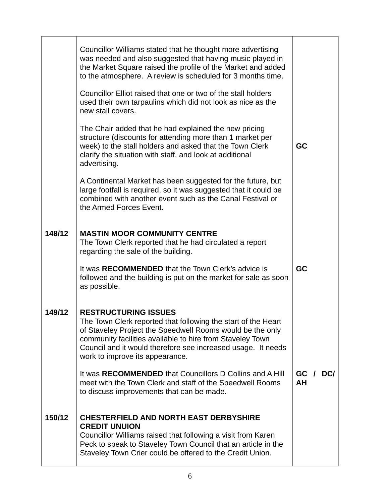|        | Councillor Williams stated that he thought more advertising<br>was needed and also suggested that having music played in<br>the Market Square raised the profile of the Market and added<br>to the atmosphere. A review is scheduled for 3 months time.<br>Councillor Elliot raised that one or two of the stall holders<br>used their own tarpaulins which did not look as nice as the<br>new stall covers.<br>The Chair added that he had explained the new pricing<br>structure (discounts for attending more than 1 market per<br>week) to the stall holders and asked that the Town Clerk<br>clarify the situation with staff, and look at additional<br>advertising. | GC                       |
|--------|----------------------------------------------------------------------------------------------------------------------------------------------------------------------------------------------------------------------------------------------------------------------------------------------------------------------------------------------------------------------------------------------------------------------------------------------------------------------------------------------------------------------------------------------------------------------------------------------------------------------------------------------------------------------------|--------------------------|
| 148/12 | A Continental Market has been suggested for the future, but<br>large footfall is required, so it was suggested that it could be<br>combined with another event such as the Canal Festival or<br>the Armed Forces Event.<br><b>MASTIN MOOR COMMUNITY CENTRE</b><br>The Town Clerk reported that he had circulated a report                                                                                                                                                                                                                                                                                                                                                  |                          |
|        | regarding the sale of the building.<br>It was RECOMMENDED that the Town Clerk's advice is<br>followed and the building is put on the market for sale as soon<br>as possible.                                                                                                                                                                                                                                                                                                                                                                                                                                                                                               | GC                       |
| 149/12 | <b>RESTRUCTURING ISSUES</b><br>The Town Clerk reported that following the start of the Heart<br>of Staveley Project the Speedwell Rooms would be the only<br>community facilities available to hire from Staveley Town<br>Council and it would therefore see increased usage. It needs<br>work to improve its appearance.                                                                                                                                                                                                                                                                                                                                                  |                          |
|        | It was RECOMMENDED that Councillors D Collins and A Hill<br>meet with the Town Clerk and staff of the Speedwell Rooms<br>to discuss improvements that can be made.                                                                                                                                                                                                                                                                                                                                                                                                                                                                                                         | <b>DCI</b><br>GC /<br>AH |
| 150/12 | <b>CHESTERFIELD AND NORTH EAST DERBYSHIRE</b><br><b>CREDIT UNUION</b><br>Councillor Williams raised that following a visit from Karen<br>Peck to speak to Staveley Town Council that an article in the<br>Staveley Town Crier could be offered to the Credit Union.                                                                                                                                                                                                                                                                                                                                                                                                        |                          |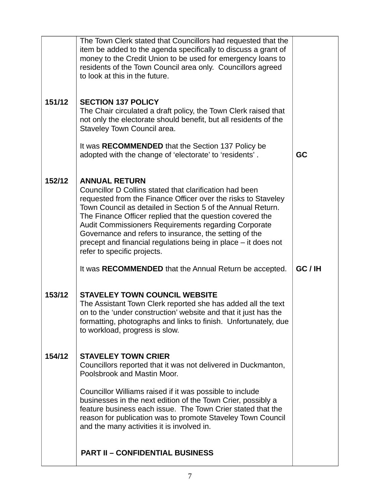|        | The Town Clerk stated that Councillors had requested that the<br>item be added to the agenda specifically to discuss a grant of<br>money to the Credit Union to be used for emergency loans to<br>residents of the Town Council area only. Councillors agreed<br>to look at this in the future.                                                                                                                                                                                                                                                           |         |
|--------|-----------------------------------------------------------------------------------------------------------------------------------------------------------------------------------------------------------------------------------------------------------------------------------------------------------------------------------------------------------------------------------------------------------------------------------------------------------------------------------------------------------------------------------------------------------|---------|
| 151/12 | <b>SECTION 137 POLICY</b><br>The Chair circulated a draft policy, the Town Clerk raised that<br>not only the electorate should benefit, but all residents of the<br>Staveley Town Council area.<br>It was RECOMMENDED that the Section 137 Policy be<br>adopted with the change of 'electorate' to 'residents'.                                                                                                                                                                                                                                           | GC      |
| 152/12 | <b>ANNUAL RETURN</b><br>Councillor D Collins stated that clarification had been<br>requested from the Finance Officer over the risks to Staveley<br>Town Council as detailed in Section 5 of the Annual Return.<br>The Finance Officer replied that the question covered the<br>Audit Commissioners Requirements regarding Corporate<br>Governance and refers to insurance, the setting of the<br>precept and financial regulations being in place – it does not<br>refer to specific projects.<br>It was RECOMMENDED that the Annual Return be accepted. | GC / IH |
| 153/12 | <b>STAVELEY TOWN COUNCIL WEBSITE</b><br>The Assistant Town Clerk reported she has added all the text<br>on to the 'under construction' website and that it just has the<br>formatting, photographs and links to finish. Unfortunately, due<br>to workload, progress is slow.                                                                                                                                                                                                                                                                              |         |
| 154/12 | <b>STAVELEY TOWN CRIER</b><br>Councillors reported that it was not delivered in Duckmanton,<br>Poolsbrook and Mastin Moor.<br>Councillor Williams raised if it was possible to include<br>businesses in the next edition of the Town Crier, possibly a<br>feature business each issue. The Town Crier stated that the<br>reason for publication was to promote Staveley Town Council<br>and the many activities it is involved in.                                                                                                                        |         |
|        | <b>PART II - CONFIDENTIAL BUSINESS</b>                                                                                                                                                                                                                                                                                                                                                                                                                                                                                                                    |         |